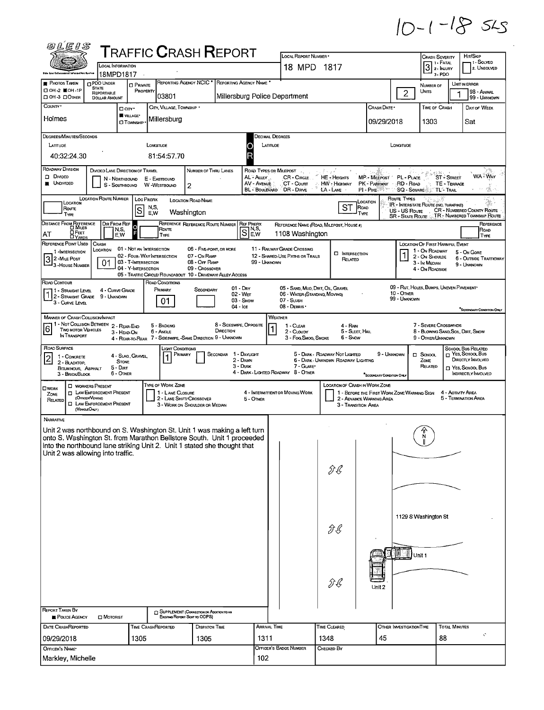## $10 - 1 - 185$

| @LEIS                                                                                                     |                                                                                                                                                                                                                                                                                                                                                                                                                                                       |                                                   |                                                                    |                                                                                                                                                                                                                                |                                                                    |                                                                                                 |                                                                              |                                                                         |                                               |                                                                                                         |                                                                                                                             |
|-----------------------------------------------------------------------------------------------------------|-------------------------------------------------------------------------------------------------------------------------------------------------------------------------------------------------------------------------------------------------------------------------------------------------------------------------------------------------------------------------------------------------------------------------------------------------------|---------------------------------------------------|--------------------------------------------------------------------|--------------------------------------------------------------------------------------------------------------------------------------------------------------------------------------------------------------------------------|--------------------------------------------------------------------|-------------------------------------------------------------------------------------------------|------------------------------------------------------------------------------|-------------------------------------------------------------------------|-----------------------------------------------|---------------------------------------------------------------------------------------------------------|-----------------------------------------------------------------------------------------------------------------------------|
|                                                                                                           |                                                                                                                                                                                                                                                                                                                                                                                                                                                       |                                                   |                                                                    | <b>TRAFFIC CRASH REPORT</b>                                                                                                                                                                                                    |                                                                    | LOCAL REPORT NUMBER *                                                                           |                                                                              |                                                                         |                                               | <b>CRASH SEVERITY</b><br>  1 - Fatal                                                                    | HIT/SKIP<br>1 SOLVED                                                                                                        |
|                                                                                                           | LOCAL INFORMATION<br>18MPD1817                                                                                                                                                                                                                                                                                                                                                                                                                        |                                                   |                                                                    |                                                                                                                                                                                                                                |                                                                    | 18 MPD 1817                                                                                     |                                                                              |                                                                         |                                               | 3<br>2 - INJURY<br>3-PDO                                                                                | 2. UNSOLVED                                                                                                                 |
| <b>PHOTOS TAKEN</b><br>П ОН 2 Ш ОН -1Р<br>CI OH -3 CI OTHER                                               | <b>DPDO UNDER</b><br><b>STATE</b><br>REPORTABLE<br><b>DOLLAR AMOUNT</b>                                                                                                                                                                                                                                                                                                                                                                               | <b>O</b> PRIVATE<br>PROPERTY                      | 03801                                                              | REPORTING AGENCY NCIC <sup>*</sup> REPORTING AGENCY NAME <sup>*</sup>                                                                                                                                                          |                                                                    | Millersburg Police Department                                                                   |                                                                              |                                                                         | $\overline{2}$                                | NUMBER OF<br>UNITS                                                                                      | UNIT IN ERROR<br>98 - ANIMAL<br>99 - UNKNOWN                                                                                |
| County -<br>Holmes                                                                                        |                                                                                                                                                                                                                                                                                                                                                                                                                                                       | □ CITY *<br><b>WILLAGE*</b><br><b>CI TOWNSHIP</b> | CITY, VILLAGE, TOWNSHIP .<br>Millersburg                           |                                                                                                                                                                                                                                |                                                                    |                                                                                                 |                                                                              | Crash Date *<br>09/29/2018                                              |                                               | TIME OF CRASH<br>1303                                                                                   | DAY OF WEEK<br>Sat                                                                                                          |
| <b>DEGREES/MINUTES/SECONDS</b><br>LATITUDE<br>40:32:24.30                                                 |                                                                                                                                                                                                                                                                                                                                                                                                                                                       |                                                   | LONGITUDE<br>81:54:57.70                                           |                                                                                                                                                                                                                                | Decimal Degrees<br>LATITUDE                                        |                                                                                                 |                                                                              |                                                                         | LONGITUDE                                     |                                                                                                         |                                                                                                                             |
| ROADWAY DIVISION<br>D DIVIDED<br><b>UNDIVIDED</b>                                                         | DIVIDED LANE DIRECTION OF TRAVEL<br>N - NORTHBOUND<br>S - SOUTHBOUND                                                                                                                                                                                                                                                                                                                                                                                  |                                                   | E - EASTBOUND<br>W -WESTBOUND                                      | NUMBER OF THRU LANES<br>2                                                                                                                                                                                                      | AL - ALLEY<br>AV - AVENUE<br><b>BL</b> - BOULEVARD                 | ROAD TYPES OR MILEPOST<br>CR - CIRCLE<br>CT - Court<br>DR - Dave                                | $\mathcal{E} \times \mathcal{E}$<br>HE - Hercurrs<br>HW - Highway<br>LA-LANE | <b>MP - MILEPOST</b><br>PK - PARKWAY<br>PI - PIKE                       | PL - PLACE<br>RD - Road<br><b>SQ - SOUARE</b> | <b>ST-STREET</b><br>TE - TERRACE<br><b>TL-TRAIL</b>                                                     | <b>WA WAY</b>                                                                                                               |
| LOCATION<br>Route<br>TYPE                                                                                 | LOCATION ROUTE NUMBER                                                                                                                                                                                                                                                                                                                                                                                                                                 | LOC PREFIX<br>S                                   | N,S,<br>E,W                                                        | <b>LOCATION ROAD NAME</b><br>Washington                                                                                                                                                                                        |                                                                    |                                                                                                 | ST<br>ROAD<br>TYPE                                                           | LOCATION                                                                | Route Types<br>US - US Route                  | IR - INTERSTATE ROUTE (INC. TURNPIKE)                                                                   | CR - NUMBERED COUNTY ROUTE<br>SR - STATE ROUTE  TR - NUMBERED TOWNSHIP ROUTE                                                |
| DISTANCE FROM REFERENCE<br>О Реет<br>AТ<br><b>DYARDS</b>                                                  | <b>DIR FROM REF</b><br>N,S,<br>E.W                                                                                                                                                                                                                                                                                                                                                                                                                    | $\circ$                                           | Route<br>TYPE                                                      | REFERENCE REFERENCE ROUTE NUMBER                                                                                                                                                                                               | <b>REF PREFIX</b><br>$\overline{\mathbb{S}}$ <sub>Fv</sub><br> E,W | 1108 Washington                                                                                 | REFERENCE NAME (ROAD, MILEPOST, HOUSE #)                                     |                                                                         |                                               |                                                                                                         | REFERENCE<br>ROAD<br>TYPE                                                                                                   |
| REFERENCE POINT USED<br>1 - INTERSECTION<br>$32$ -Mile Post<br><sup>1</sup> 3 - House Number              | CRASH<br>LOCATION<br>01                                                                                                                                                                                                                                                                                                                                                                                                                               | 03 - T-INTERSECTION<br>04 - Y-INTERSECTION        | 01 - NOT AN INTERSECTION<br>02 - FOUR-WAY INTERSECTION             | 06 - FIVE-POINT, OR MORE<br>07 - On RAMP<br>08 - OFF RAMP<br>09 - CROSSOVER<br>05 - TRAFFIC CIRCLE/ ROUNDABOUT 10 - DRIVEWAY/ ALLEY ACCESS                                                                                     | 99 - UNKNOWN                                                       | 11 - RAILWAY GRADE CROSSING<br>12 - SHARED-USE PATHS OR TRAILS                                  | <b>INTERSECTION</b><br>RELATED                                               |                                                                         | 1                                             | LOCATION OF FIRST HARMFUL EVENT<br>1 - On Roadway<br>2 - On Shoulde<br>3 - In MEDIAN<br>4 - On ROADSIDE | 5 - On Gore<br><b>6 - OUTSIDE TRAFFICWAY</b><br>9 - UNKNOWN                                                                 |
| ROAD CONTOUR<br>1 - Straght Level<br>$1 2 - $ Straight Grade 9 - Unknown<br>3 - CURVE LEVEL               | 4 - CURVE GRADE                                                                                                                                                                                                                                                                                                                                                                                                                                       |                                                   | ROAD CONDITIONS<br>PRIMARY<br>01                                   | SECONDARY<br>04 - Ice                                                                                                                                                                                                          | $01 - Dny$<br>$02 - W_{ET}$<br>03 - Snow                           | 05 - SAND, MUD, DIRT, OIL, GRAVEL<br>06 - WATER (STANDING, MOVING)<br>07 - SLUSH<br>08 - DEBRIS |                                                                              |                                                                         | 10 - OTHER<br>99 - UNKNOWN                    | 09 - RUT, HOLES, BUMPS, UNEVEN PAVEMENT                                                                 | SECONDARY CONDITION ONLY                                                                                                    |
| 6<br>IN TRANSPORT                                                                                         | <b>MANNER OF CRASH COLLISION/IMPACT</b><br>WEATHER<br>1 - Not Collision Between 2 - Rear-End<br>8 - SIDESWIPE, OPPOSITE<br>7 - SEVERE CROSSWINDS<br>5 - BACKING<br>1 - CLEAR<br>4 - RAN<br>TWO MOTOR VEHICLES<br>DIRECTION<br>6 - Angue<br>5 - Sleet, Hall<br>8 - BLOWING SAND, SOIL, DIRT, SNOW<br>2 - CLOUDY<br>3 - HEAD-ON<br>4 - REAR-TO-REAR 7 - SIDESWIPE, -SAME DIRECTION 9 - UNKNOWN<br>3 - Fog, Smog, Smoke<br>6 - Snow<br>9 - OTHER/UNKNOWN |                                                   |                                                                    |                                                                                                                                                                                                                                |                                                                    |                                                                                                 |                                                                              |                                                                         |                                               |                                                                                                         |                                                                                                                             |
| ROAD SURFACE<br>1 - CONCRETE<br>$\overline{2}$<br>2 - BLACKTOP.<br>BITUMINOUS, ASPHALT<br>3 - BRICK BLOCK | <b>STONE</b><br>$5 - Dir$<br>6 - OTHER                                                                                                                                                                                                                                                                                                                                                                                                                | 4 - Slag, Gravel.                                 | LIGHT CONDITIONS<br>PRIMARY                                        | Secondar                                                                                                                                                                                                                       | 1 - Daylight<br>2 - DAWN<br>3 - Dusk                               | 7 - GLARE*<br>4 - DARK - LIGHTED ROADWAY 8 - OTHER                                              | 5 - DARK - ROADWAY NOT LIGHTED<br>6 - DARK - UNKNOWN ROADWAY LIGHTING        | 9 - UNKNOWN<br>SECONDARY CONDITION ONLY                                 |                                               | $\Box$ School<br>ZONE<br>RELATED                                                                        | SCHOOL BUS RELATED<br>$\Box$ YES, SCHOOL Bus<br><b>DIRECTLY INVOLVED</b><br>T YES, SCHOOL BUS<br><b>INDIRECTLY INVOLVED</b> |
| <b>D</b> WORKERS PRESENT<br><b>OWORK</b><br>ZONE<br>(OfficerVericus)<br>RELATED<br>(VerazOnty)            | <b>D</b> LAW ENFORCEMENT PRESENT<br><b>D</b> LAW ENFORCEMENT PRESENT                                                                                                                                                                                                                                                                                                                                                                                  |                                                   | TYPE OF WORK ZONE<br>1 - LANE CLOSURE<br>2 - LANE SHIFT/ CROSSOVER | 3 - WORK ON SHOULDER OR MEDIAN                                                                                                                                                                                                 | 5 - OTHER                                                          | 4 - INTERMITTENT OR MOVING WORK                                                                 | LOCATION OF CRASH IN WORK ZONE<br>3 - TRANSITION AREA                        | 1 - BEFORE THE FIRST WORK ZONE WARNING SIGN<br>2 - ADVANCE WARNING AREA |                                               |                                                                                                         | 4 - ACTIVITY AREA<br>5 - TERMINATION AREA                                                                                   |
| NARRATIVE<br>Unit 2 was allowing into traffic.                                                            |                                                                                                                                                                                                                                                                                                                                                                                                                                                       |                                                   |                                                                    | Unit 2 was northbound on S. Washington St. Unit 1 was making a left turn<br>onto S. Washington St. from Marathon Bellstore South. Unit 1 proceeded<br>into the northbound lane striking Unit 2. Unit 1 stated she thought that |                                                                    |                                                                                                 | ДÇ                                                                           |                                                                         |                                               | א<br>ו                                                                                                  |                                                                                                                             |
|                                                                                                           |                                                                                                                                                                                                                                                                                                                                                                                                                                                       |                                                   |                                                                    |                                                                                                                                                                                                                                |                                                                    |                                                                                                 | ĴĿ                                                                           |                                                                         | Unit 1                                        | 1129 S Washington St                                                                                    |                                                                                                                             |
|                                                                                                           |                                                                                                                                                                                                                                                                                                                                                                                                                                                       |                                                   |                                                                    |                                                                                                                                                                                                                                |                                                                    |                                                                                                 | ДĿ                                                                           | Unit 2                                                                  |                                               |                                                                                                         |                                                                                                                             |
| <b>REPORT TAKEN BY</b><br><b>POLICE AGENCY</b>                                                            | <b>D</b> MOTORIST                                                                                                                                                                                                                                                                                                                                                                                                                                     |                                                   | Existing Report Sent to ODPS)                                      | <b>COMPLEMENT (CORRECTION OR ADDITION TO AN</b>                                                                                                                                                                                |                                                                    |                                                                                                 |                                                                              |                                                                         |                                               |                                                                                                         |                                                                                                                             |
| DATE CRASHREPORTED<br>09/29/2018                                                                          |                                                                                                                                                                                                                                                                                                                                                                                                                                                       | 1305                                              | TIME CRASHREPORTED                                                 | <b>DISPATCH TIME</b><br>1305                                                                                                                                                                                                   | ARRIVAL TIME<br>1311                                               |                                                                                                 | Time Cleared<br>1348                                                         | 45                                                                      | OTHER INVESTIGATION TIME                      | <b>TOTAL MINUTES</b><br>88                                                                              | c                                                                                                                           |
| OFFICER'S NAME<br>Markley, Michelle                                                                       |                                                                                                                                                                                                                                                                                                                                                                                                                                                       |                                                   |                                                                    |                                                                                                                                                                                                                                | 102                                                                | OFFICER'S BADGE NUMBER                                                                          | CHECKED BY                                                                   |                                                                         |                                               |                                                                                                         |                                                                                                                             |
|                                                                                                           |                                                                                                                                                                                                                                                                                                                                                                                                                                                       |                                                   |                                                                    |                                                                                                                                                                                                                                |                                                                    |                                                                                                 |                                                                              |                                                                         |                                               |                                                                                                         |                                                                                                                             |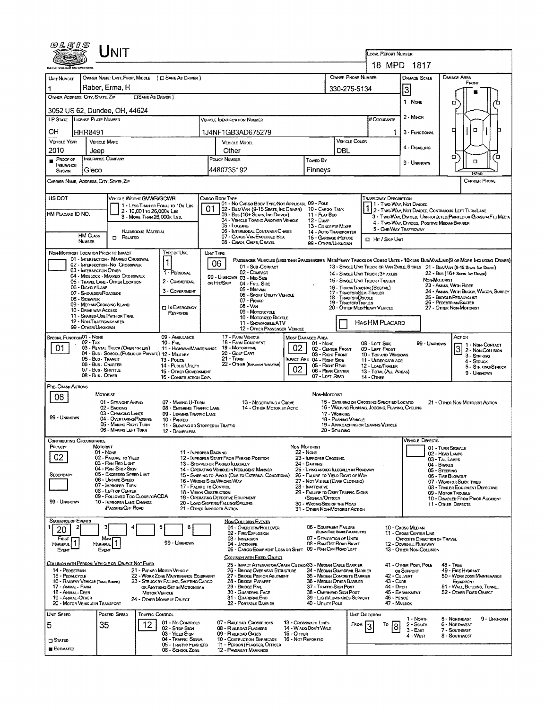| <i>©LE1S</i>                                                         |                                        | <b>NIT</b>                                            |                            |                                                                                |     |                                                                                                           |                                         |                                                                             |                                       |                                                             |                                                  |                                                       |                                    |                                                                                                                                                                                                                    |  |
|----------------------------------------------------------------------|----------------------------------------|-------------------------------------------------------|----------------------------|--------------------------------------------------------------------------------|-----|-----------------------------------------------------------------------------------------------------------|-----------------------------------------|-----------------------------------------------------------------------------|---------------------------------------|-------------------------------------------------------------|--------------------------------------------------|-------------------------------------------------------|------------------------------------|--------------------------------------------------------------------------------------------------------------------------------------------------------------------------------------------------------------------|--|
|                                                                      |                                        |                                                       |                            |                                                                                |     |                                                                                                           |                                         |                                                                             |                                       |                                                             | <b>LOCAL REPORT NUMBER</b>                       | 18 MPD 1817                                           |                                    |                                                                                                                                                                                                                    |  |
| <b>UNIT NUMBER</b>                                                   |                                        |                                                       |                            | OWNER NAME: LAST, FIRST, MIDDLE ( E SAME AS DRIVER )                           |     |                                                                                                           |                                         |                                                                             |                                       | OWNER PHONE NUMBER                                          |                                                  | <b>DAMAGE SCALE</b>                                   |                                    | <b>DAMAGE AREA</b>                                                                                                                                                                                                 |  |
|                                                                      |                                        | Raber, Erma, H                                        |                            |                                                                                |     |                                                                                                           |                                         |                                                                             |                                       | 330-275-5134                                                |                                                  | 3                                                     |                                    | FRONT                                                                                                                                                                                                              |  |
| OWNER ADDRESS; CITY, STATE, ZIP<br><b>CISAME AS DRIVER</b> )         |                                        |                                                       |                            |                                                                                |     |                                                                                                           |                                         |                                                                             |                                       |                                                             |                                                  |                                                       |                                    |                                                                                                                                                                                                                    |  |
| 3052 US 62, Dundee, OH, 44624                                        |                                        |                                                       |                            |                                                                                |     |                                                                                                           |                                         |                                                                             |                                       |                                                             |                                                  | 1 - None                                              |                                    | □                                                                                                                                                                                                                  |  |
| LP STATE LICENSE PLATE NUMBER                                        |                                        |                                                       |                            |                                                                                |     | VEHICLE IDENTIFICATION NUMBER                                                                             |                                         |                                                                             |                                       |                                                             | # Occupants                                      | 2 - MINOR                                             |                                    |                                                                                                                                                                                                                    |  |
| OH                                                                   | HHR8491<br>1J4NF1GB3AD675279           |                                                       |                            |                                                                                |     |                                                                                                           |                                         |                                                                             |                                       |                                                             |                                                  | 3 - FUNCTIONAL                                        |                                    | O<br>п                                                                                                                                                                                                             |  |
| <b>VEHICLE YEAR</b>                                                  | <b>VEHICLE MAKE</b>                    |                                                       |                            |                                                                                |     | <b>VEHICLE MODEL</b>                                                                                      |                                         |                                                                             |                                       | VEHICLE COLOR                                               |                                                  |                                                       |                                    |                                                                                                                                                                                                                    |  |
| 2010                                                                 | Other<br>Jeep                          |                                                       |                            |                                                                                |     |                                                                                                           |                                         |                                                                             | DBL                                   |                                                             |                                                  | 4 - DISABLING                                         |                                    |                                                                                                                                                                                                                    |  |
| $P$ ROOF OF                                                          | <b>INSURANCE COMPANY</b>               |                                                       |                            |                                                                                |     | POLICY NUMBER<br>Towed By                                                                                 |                                         |                                                                             |                                       |                                                             |                                                  | 9 - Unknown                                           |                                    | о<br>Έ<br>$\Box$                                                                                                                                                                                                   |  |
| INSURANCE<br>SHOWN                                                   | Gieco                                  |                                                       |                            |                                                                                |     | 4480735192                                                                                                |                                         | Finneys                                                                     |                                       |                                                             |                                                  |                                                       |                                    | FEA                                                                                                                                                                                                                |  |
| CARRIER NAME, ADDRESS, CITY, STATE, ZIP<br><b>CARRIER PHONE</b>      |                                        |                                                       |                            |                                                                                |     |                                                                                                           |                                         |                                                                             |                                       |                                                             |                                                  |                                                       |                                    |                                                                                                                                                                                                                    |  |
| US DOT                                                               |                                        | VEHICLE WEIGHT GVWR/GCWR                              |                            |                                                                                |     | CARGO BODY TYPE                                                                                           |                                         |                                                                             |                                       |                                                             | TRAFFICWAY DESCRIPTION                           |                                                       |                                    |                                                                                                                                                                                                                    |  |
|                                                                      |                                        |                                                       | 2 - 10,001 to 26,000x LBs  | 1 - LESS THAN OR EQUAL TO 10K LBS                                              | 01. | 01 - No CARGO BODY TYPE/NOT APPLICABL 09 - POLE<br>02 - Busi Van (9-15 Seats, Inc Driver) 10 - Cargo Tank |                                         |                                                                             |                                       |                                                             |                                                  | 1 - Two Way, Not Divideo                              |                                    | 1 2 - TWO-WAY NOT DIVIDED, CONTINUOUS LEFT TURN LANE                                                                                                                                                               |  |
| HM PLACARD ID NO.                                                    |                                        |                                                       | 3 - More THAN 26,000K Las. |                                                                                |     | 03 - Bus (16+ Seats, Inc Driver)<br>04 - VEHICLE TOWING ANOTHER VEHICLE                                   |                                         | 11 - FLAT BED<br>12 - Dump                                                  |                                       |                                                             |                                                  |                                                       |                                    | 3 - Two-Way, Divided, UNPROTECTED (PAINTED OR GRASS > FT.) MEDIA                                                                                                                                                   |  |
|                                                                      |                                        |                                                       |                            |                                                                                |     | 05 - Logging                                                                                              |                                         | 13 - CONCRETE MIXER                                                         |                                       |                                                             | 5 - ONE-WAY TRAFFICWAY                           | 4 - Two-WAY, DIVIDED, POSITIVE MEDIANBARRIER          |                                    |                                                                                                                                                                                                                    |  |
|                                                                      | HM CLASS                               | $R$ ELATED                                            | <b>HAZARDOUS MATERIAL</b>  |                                                                                |     | 06 - INTERMODAL CONTAINER CHASIS<br>07 - CARGO VAN ENCLOSED BOX                                           |                                         | 14 - AUTO TRANSPORTER<br>15 - GARBAGE /REFUSE                               |                                       |                                                             | $\Box$ Hr / Skip Unit                            |                                                       |                                    |                                                                                                                                                                                                                    |  |
|                                                                      | <b>NUMBER</b>                          |                                                       |                            |                                                                                |     | 08 - Gran, Chips, Gravel                                                                                  |                                         | 99 - OTHER/UNKNOWN                                                          |                                       |                                                             |                                                  |                                                       |                                    |                                                                                                                                                                                                                    |  |
| NON-MOTORIST LOCATION PRIOR TO IMPACT                                |                                        | 01 - INTERSECTION - MARKED CROSSWAL                   |                            | TYPE OF USE                                                                    |     | <b>UNIT TYPE</b>                                                                                          |                                         |                                                                             |                                       |                                                             |                                                  |                                                       |                                    |                                                                                                                                                                                                                    |  |
|                                                                      |                                        | 02 - INTERSECTION - NO CROSSWALK                      |                            | 1                                                                              |     | 06<br>01 - Sub-COMPACT                                                                                    |                                         |                                                                             |                                       |                                                             |                                                  |                                                       |                                    | PASSENGER VEHICLES (LESS THAN 9 PASSENGERS MEDIHEAVY TRUCKS OR COMBO UNITS > 10KLBS BUS/VAN/LIMD(9 OR MORE INCLUDING DRIVER)<br>13 - SINGLE UNIT TRUCK OR VAN ZAXLE, 6 TIRES 21 - BUS/VAN (9-15 SEATS, INC DRIVER) |  |
|                                                                      | 03 - INTERSECTION OTHER                | 04 - MIOBLOCK - MARKED CROSSWALK                      |                            | 1 - PERSONAL                                                                   |     | 02 - COMPACT<br>99 - UNKNOWN 03 - MID SIZE                                                                |                                         |                                                                             |                                       |                                                             | 14 - SINGLE UNIT TRUCK; 3+ AXLES                 |                                                       |                                    | 22 - Bus (16+ Seats, Inc. Driver)                                                                                                                                                                                  |  |
|                                                                      | 06 - BICYCLE LANE                      | 05 - TRAVEL LANE - OTHER LOCATION                     |                            | 2 - COMMERCIAL                                                                 |     | or Hit/Skip<br>04 - Full Size                                                                             |                                         |                                                                             |                                       | 15 - SINGLE UNIT TRUCK / TRAILER                            |                                                  |                                                       | NON-MOTORIST                       | 23 - AMMAL WITH RIDER                                                                                                                                                                                              |  |
|                                                                      | 07 - SHOULDER/ROADSIDE                 |                                                       |                            | 3 - GOVERNMENT                                                                 |     | 05 - Milnivan<br>06 - SPORT UTILITY VEHICLE                                                               |                                         |                                                                             |                                       | 16 - TRUCK/TRACTOR (BOBTAL)<br>17 - TRACTOR/SEMI-TRAILER    |                                                  |                                                       |                                    | 24 - AMMAL WITH BUGGY, WAGON, SURREY                                                                                                                                                                               |  |
|                                                                      | 08 - SIDEWALK                          | 09 - MEDIAN/CROSSING ISLAND                           |                            |                                                                                |     | 07 - Pickup                                                                                               |                                         |                                                                             |                                       | 18 - TRACTOR/DOUBLE<br>19 - TRACTOR/TRIPLES                 |                                                  |                                                       |                                    | 25 - BICYCLE/PEDACYCLIST<br>26 - Pedestrian/Skater                                                                                                                                                                 |  |
|                                                                      | 10 - DRIVE WAY ACCESS                  |                                                       |                            | <b>DIN EMERGENCY</b><br><b>RESPONSE</b>                                        |     | $08 - V_{AN}$<br>09 - MOTORCYCLE                                                                          |                                         |                                                                             |                                       | 20 - OTHER MEDIHEAVY VEHICLE                                |                                                  |                                                       |                                    | 27 - Office Non-Motorist                                                                                                                                                                                           |  |
|                                                                      | 12 - NON-TRAFFICWAY AREA               | 11 - SHARED-USE PATH OR TRAIL                         |                            |                                                                                |     | 10 - MOTORIZED BICYCLE<br>11 - SNOWMOBILE/ATV                                                             |                                         |                                                                             |                                       |                                                             |                                                  |                                                       |                                    |                                                                                                                                                                                                                    |  |
| Has HM PLACARD<br>99 - OTHER/UNKNOWN<br>12 - Other Passenger Vehicle |                                        |                                                       |                            |                                                                                |     |                                                                                                           |                                         |                                                                             |                                       |                                                             |                                                  |                                                       |                                    |                                                                                                                                                                                                                    |  |
| SPECIAL FUNCTION <sup>01</sup> - NONE                                | $02 - T$ Axi                           |                                                       |                            | 09 - AMBULANCE<br>$10 -$ FiRE                                                  |     | 17 - FARM VEHICLE<br>18 - FARM EOUIPMENT                                                                  |                                         | MOST DAMAGED AREA<br>01 - None                                              |                                       |                                                             | 08 - Lert Side                                   |                                                       | 99 - UNKNOWN                       | Action                                                                                                                                                                                                             |  |
| 01                                                                   |                                        | 03 - RENTAL TRUCK (OVER 10K LBS)                      |                            | 11 - HIGHWAY/MAINTENANCE                                                       |     | 19 - MOTORHOME                                                                                            | 02                                      | 02 - CENTER FRONT                                                           |                                       |                                                             | 09 - LEFT FRONT                                  |                                                       |                                    | 1 - NDN-CONTACT<br>3<br>2 - Non-Coulsion<br>3 - STRIKING                                                                                                                                                           |  |
|                                                                      | 05 - Bus - Transit                     |                                                       |                            | 04 - Bus - SCHOOL (PUBLIC OR PRIVATE) 12 - MILITARY<br>13 - Pouce              |     | 20 - Golf Cart<br>21 - Train                                                                              |                                         | 03 - RIGHT FRONT<br>MPACT ARE 04 - RIGHT SIDE                               |                                       |                                                             | 10 - TOP AND WINDOWS<br>11 - UNDERCARRIAGE       |                                                       |                                    | 4 - STRUCK                                                                                                                                                                                                         |  |
|                                                                      | 06 - Bus - Charter<br>07 - Bus SHUTTLE |                                                       |                            | 14 - PUBLIC UTILITY<br>15 - OTHER GOVERNMENT                                   |     | 22 - OTHER (EXPLAN 3H NARRATIVE)                                                                          | 02 <sub>1</sub>                         | 05 - Right Rear<br>06 - REAR CENTER                                         |                                       |                                                             | 12 - LOAD/TRAILER<br>13 - TOTAL (ALL AREAS)      |                                                       |                                    | 5 - STRIKING/STRUCK                                                                                                                                                                                                |  |
|                                                                      | 08 - Bus - OTHER                       |                                                       |                            | 16 - CONSTRUCTION EOIP.                                                        |     |                                                                                                           |                                         | 07 - LEFT REAR                                                              |                                       | 14 - Отнев                                                  |                                                  |                                                       |                                    | 9 - UNKNOWN                                                                                                                                                                                                        |  |
| PRE-CRASH ACTIONS                                                    |                                        |                                                       |                            |                                                                                |     |                                                                                                           |                                         |                                                                             |                                       |                                                             |                                                  |                                                       |                                    |                                                                                                                                                                                                                    |  |
| 06                                                                   | MOTORIST                               |                                                       |                            | 07 - MAKING U-TURN                                                             |     |                                                                                                           |                                         | NON-MOTORIST                                                                |                                       |                                                             | 15 - ENTERING OR CROSSING SPECIFIED LOCATIO      |                                                       |                                    |                                                                                                                                                                                                                    |  |
|                                                                      |                                        | 01 - STRAIGHT AHEAD<br>02 - BACKING                   |                            | 08 - ENTERING TRAFFIC LANE                                                     |     | 13 - NEGOTIATING A CURVE<br>14 - OTHER MOTORIST ACTIO                                                     |                                         |                                                                             |                                       |                                                             | 16 - WALKING, RUNNING, JOGGING, PLAYING, CYCLING |                                                       |                                    | 21 - OTHER NON-MOTORIST ACTION                                                                                                                                                                                     |  |
| 99 - UNKNOWN                                                         |                                        | 03 - CHANGING LANES<br>04 - OVERTAKING/PASSING        |                            | 09 - LEAVING TRAFFIC LANE<br>10 - PARKED                                       |     |                                                                                                           |                                         |                                                                             | 17 - WORKING<br>18 - Pushing Verlicue |                                                             |                                                  |                                                       |                                    |                                                                                                                                                                                                                    |  |
|                                                                      |                                        | 05 - MAKING RIGHT TURN<br>06 - MAKING LEFT TURN       |                            | 11 - SLOWING OR STOPPED IN TRAFFIC                                             |     |                                                                                                           |                                         |                                                                             | 20 - STANDING                         |                                                             | 19 - APPROACHING OR LEAVING VEHICLE              |                                                       |                                    |                                                                                                                                                                                                                    |  |
|                                                                      |                                        |                                                       |                            | 12 - DRIVERLESS                                                                |     |                                                                                                           |                                         |                                                                             |                                       |                                                             |                                                  | <b>VEHICLE DEFECTS</b>                                |                                    |                                                                                                                                                                                                                    |  |
| CONTRIBUTING CIRCUMSTANCE<br>Primary                                 | MOTORIST                               |                                                       |                            |                                                                                |     |                                                                                                           | NON-MOTORIST                            |                                                                             |                                       |                                                             |                                                  |                                                       | 01 - TURN SIGNALS                  |                                                                                                                                                                                                                    |  |
| 02                                                                   | 01 - None                              | 02 - FAILURE TO YIELD                                 |                            | 11 - IMPROPER BACKING                                                          |     | 12 - IMPROPER START FROM PARKED POSITION                                                                  | $22 - None$                             | 23 - IMPROPER CROSSING                                                      |                                       |                                                             |                                                  |                                                       | 02 - HEAD LAMPS                    |                                                                                                                                                                                                                    |  |
|                                                                      |                                        | 03 - RAN RED LIGHT                                    |                            |                                                                                |     | 13 - STOPPED OR PARKED ILLEGALLY                                                                          |                                         | 24 - DARTING                                                                |                                       |                                                             |                                                  |                                                       | 03 - TAIL LAMPS<br>04 - BRAKES     |                                                                                                                                                                                                                    |  |
| SECONDARY                                                            |                                        | 04 - RAN STOP SIGN<br>05 - Exceeded Speed LIMIT       |                            |                                                                                |     | 14 - OPERATING VEHICLE IN NEGLIGENT MANNER<br>15 - SWERING TO AVOID (DUE TO EXTERNAL CONDITIONS)          |                                         | 25 - LYING ANDJOR ILLEGALLY IN ROADWAY<br>26 - FALURE TO YIELD RIGHT OF WAY |                                       |                                                             |                                                  |                                                       | 05 - STEERING<br>06 - TIRE BLOWOUT |                                                                                                                                                                                                                    |  |
|                                                                      |                                        | 06 - Unsafe Speed<br>07 - IMPROPER TURN               |                            | 17 - FALURE TO CONTROL                                                         |     | 16 - WRONG SIDE/WRONG WAY                                                                                 |                                         | 27 - NOT VISIBLE (DARK CLOTHING)<br>28 - INATTENTIVE                        |                                       | 07 - WORN OR SUCK TIRES<br>08 - TRAILER EQUIPMENT DEFECTIVE |                                                  |                                                       |                                    |                                                                                                                                                                                                                    |  |
|                                                                      |                                        | 08 - LEFT OF CENTER<br>09 - FOLLOWED TOO CLOSELY/ACDA |                            | 18 - VISION OBSTRUCTION                                                        |     |                                                                                                           |                                         | 29 - FAILURE TO OBEY TRAFFIC SIGNS                                          |                                       |                                                             |                                                  |                                                       | 09 - MOTOR TROUBLE                 |                                                                                                                                                                                                                    |  |
| 99 - UNKNOWN                                                         |                                        | 10 - IMPROPER LANE CHANGE                             |                            |                                                                                |     | 19 - OPERATING DEFECTIVE EQUIPMENT<br>20 - LOAD SHIFTING/FALUNG/SPILLING                                  |                                         | /SIGNALS/OFFICER<br>30 - WRONG SIDE OF THE ROAD                             |                                       |                                                             |                                                  |                                                       | 11 - OTHER DEFECTS                 | 10 - DISABLED FROM PRIOR ACCIDENT                                                                                                                                                                                  |  |
|                                                                      |                                        | <b>PASSING OFF ROAD</b>                               |                            |                                                                                |     | 21 - OTHER IMPROPER ACTION                                                                                |                                         | 31 - Other Non-Motorist Action                                              |                                       |                                                             |                                                  |                                                       |                                    |                                                                                                                                                                                                                    |  |
| <b>SEQUENCE OF EVENTS</b>                                            |                                        |                                                       |                            |                                                                                |     | <b>NON-COLLISION EVENTS</b>                                                                               |                                         | 06 - EQUIPMENT FAILURE                                                      |                                       |                                                             |                                                  |                                                       |                                    |                                                                                                                                                                                                                    |  |
| 20                                                                   |                                        |                                                       |                            |                                                                                |     | 01 - OVERTURN/ROLLOVER<br>02 - FIRE/EXPLOSION                                                             |                                         |                                                                             | (BLOWN TIRE, BRAKE FAILURE, ETC)      |                                                             |                                                  | 10 - Cross Median<br>11 - Cross CENTER LINE           |                                    |                                                                                                                                                                                                                    |  |
| FIRST<br>HARMFUL <sup>1</sup>                                        | HARMFUL                                | Most                                                  |                            | 99 - Univorm                                                                   |     | 03 - IMMERSION<br>04 - JACKXNIFE                                                                          |                                         | 07 - SEPARATION OF UNITS<br>08 - RAN OFF ROAD RIGHT                         |                                       |                                                             |                                                  | OPPOSITE DIRECTION OF TRAVEL<br>12 - DOWNHILL RUNAWAY |                                    |                                                                                                                                                                                                                    |  |
| EVENT                                                                | EVENT                                  |                                                       |                            |                                                                                |     | 05 - CARGO/EQUIPMENT LOSS OR SHIFT                                                                        |                                         | 09 - RAN OFF ROAD LEFT                                                      |                                       |                                                             |                                                  | 13 - OTHER NON-COLLISION                              |                                    |                                                                                                                                                                                                                    |  |
| COLLISION WITH PERSON, VEHICLE OR OBJECT NOT FIXED                   |                                        |                                                       |                            |                                                                                |     | COLLISION WITH FIXED, OBJECT                                                                              |                                         |                                                                             |                                       |                                                             |                                                  |                                                       |                                    |                                                                                                                                                                                                                    |  |
| 14 - PEDESTRIAN                                                      |                                        |                                                       |                            | 21 - PARKED MOTOR VEHICLE                                                      |     | 25 - IMPACT ATTENJATOR/CRASH CUSHION33 - MEDIAN CABLE BARRIER<br>26 - BRIDGE OVERHEAD STRUCTURE           |                                         | 34 - MEDIAN GUARDRAIL BARRIER                                               |                                       |                                                             |                                                  | 41 - Other Post, Pole<br>OR SUPPORT                   | 48 - TREE                          | 49 - FIRE HYDRANT                                                                                                                                                                                                  |  |
| 15 - PEDALCYCLE<br>16 - RAILWAY VEHICLE (TALM, ENGINE)               |                                        |                                                       |                            | 22 - WORK ZONE MAINTENANCE EQUIPMENT<br>23 - STRUCK BY FALLING, SHIFTING CARGO |     | 27 - BRIDGE PIER OR ABUTMENT<br>28 - BRIDGE PARAPET                                                       |                                         | 35 - MEDIAN CONCRETE BARRIER<br>36 - MEDIAN OTHER BARRIER                   |                                       |                                                             | 42 - CULVERT<br>43 - Cura                        |                                                       |                                    | 50 - WORK ZONE MAINTENANCE<br><b>EQUIPMENT</b>                                                                                                                                                                     |  |
| 17 - Animal - Farm<br>18 - Animal - Deer                             |                                        |                                                       |                            | or Ammeng Set in Motion by a                                                   |     | 29 - BRIDGE RAIL<br>30 - GUARDRAIL FACE                                                                   |                                         | 37 - TRAFFIC SIGN POST<br>38 - Overhead Sign Post                           |                                       |                                                             | 44 - Олсн                                        | 45 - EMBANKMENT                                       |                                    | 51 - WALL, BUILDING, TUNNEL<br>52 - OTHER FIXED OBJECT                                                                                                                                                             |  |
| 19 - ANIMAL-OTHER                                                    |                                        |                                                       | <b>MOTOR VEHICLE</b>       | 24 - OTHER MOVABLE OBJECT                                                      |     | 31 - GUARDRAILEND                                                                                         |                                         | 39 - Light/Luminaries Support                                               |                                       |                                                             | 46 - FENCE                                       |                                                       |                                    |                                                                                                                                                                                                                    |  |
| 20 - MOTOR VEHICLE IN TRANSPORT                                      |                                        |                                                       |                            |                                                                                |     | 32 - PORTABLE BARRIER                                                                                     |                                         | 40 - Unury Pous                                                             |                                       |                                                             | 47 - MAILBOX                                     |                                                       |                                    |                                                                                                                                                                                                                    |  |
| UMT SPEED                                                            |                                        | Posted Speed                                          | TRAFFIC CONTROL            | 01 - No Controls                                                               |     | 07 - RALROAD CROSSBUCKS                                                                                   | 13 - Crosswalk LINES                    |                                                                             |                                       | Unit Direction                                              |                                                  | $1 - \text{North}$                                    |                                    | 5 - NORTHEAST<br>9 - Uninnown                                                                                                                                                                                      |  |
| 5                                                                    | 35                                     |                                                       | 12                         | 02 - S TOP SIGN                                                                |     | 08 - RAUROAD FLASHERS                                                                                     |                                         | 14 - WALK/DON'T WALK                                                        |                                       | FROM                                                        | То<br>8                                          | $2 -$ Soum<br>$3 - EAST$                              |                                    | 6 - NORTHWEST<br>7 - SOUTHEAST                                                                                                                                                                                     |  |
| $\square$ Stated                                                     |                                        |                                                       |                            | 03 - YiELD Stov<br>04 - Traffic Signal                                         |     | 09 - RALROAD GATES<br>10 - Costruction Barricade                                                          | <b>15 - O THER</b><br>16 - Not Reported |                                                                             |                                       |                                                             |                                                  | 4 - WEST                                              |                                    | 8 - Southwest                                                                                                                                                                                                      |  |
| ESTIMATED                                                            |                                        |                                                       |                            | 05 - TRAFFIC FLASHERS<br>06 - SCHOOL ZONE                                      |     | 11 - PERSON (FLAGGER, OFFICER<br><b>12 - PAVEMENT MARKINGS</b>                                            |                                         |                                                                             |                                       |                                                             |                                                  |                                                       |                                    |                                                                                                                                                                                                                    |  |
|                                                                      |                                        |                                                       |                            |                                                                                |     |                                                                                                           |                                         |                                                                             |                                       |                                                             |                                                  |                                                       |                                    |                                                                                                                                                                                                                    |  |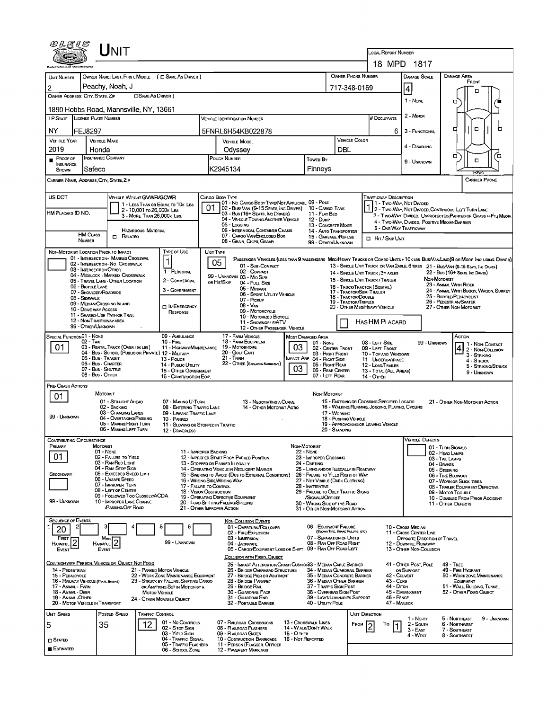| $U$ nit                                                                                                                                   |                                                                                                                                         |                                                                                               | <b>LOCAL REPORT NUMBER</b>                                                                                                   |  |  |  |
|-------------------------------------------------------------------------------------------------------------------------------------------|-----------------------------------------------------------------------------------------------------------------------------------------|-----------------------------------------------------------------------------------------------|------------------------------------------------------------------------------------------------------------------------------|--|--|--|
|                                                                                                                                           |                                                                                                                                         |                                                                                               | 18 MPD 1817                                                                                                                  |  |  |  |
| OWNER NAME: LAST, FIRST, MIDDLE ( C SAME AS DRIVER )<br>UMT NUMBER<br>Peachy, Noah, J                                                     |                                                                                                                                         | <b>OWNER PHONE NUMBER</b>                                                                     | DAMAGE AREA<br>DAMAGE SCALE<br>FRONT                                                                                         |  |  |  |
| 2<br>OWNER ADDRESS: CITY, STATE, ZIP<br><b>CISAME AS DRIVER</b> )                                                                         | 717-348-0169                                                                                                                            | 4<br>▫                                                                                        |                                                                                                                              |  |  |  |
| 1890 Hobbs Road, Mannsville, NY, 13661                                                                                                    |                                                                                                                                         |                                                                                               | $1 - None$<br>α                                                                                                              |  |  |  |
| LP STATE<br>LICENSE PLATE NUMBER                                                                                                          |                                                                                                                                         | 2 - MINOR<br># Occupants                                                                      |                                                                                                                              |  |  |  |
| NY<br>FEJ8297                                                                                                                             | 5FNRL6H54KB022878                                                                                                                       |                                                                                               | $\Box$<br>□<br>6.<br>3 - FUNCTIONAL                                                                                          |  |  |  |
| <b>VEHICLE YEAR</b><br><b>VEHICLE MAKE</b>                                                                                                | <b>VEHICLE MODEL</b>                                                                                                                    | <b>VEHICLE COLOR</b>                                                                          |                                                                                                                              |  |  |  |
| 2019<br>Honda                                                                                                                             | Odyssey                                                                                                                                 | DBL                                                                                           | 4 - DISABLING<br>о<br>Έ                                                                                                      |  |  |  |
| INSURANCE COMPANY<br><b>PROOF OF</b><br>INSURANCE<br>Safeco<br>SHOWN                                                                      | POLICY NUMBER<br>K2945134                                                                                                               | Towep By<br>Finneys                                                                           | $\Box$<br>9 - UNKNOWN                                                                                                        |  |  |  |
| CARRIER NAME, ADDRESS, CITY STATE, ZIP                                                                                                    |                                                                                                                                         |                                                                                               | <b>HEAR</b><br><b>CARRIER PHONE</b>                                                                                          |  |  |  |
|                                                                                                                                           |                                                                                                                                         |                                                                                               |                                                                                                                              |  |  |  |
| US DOT<br>VEHICLE WEIGHT GWWR/GCWR<br>1 - LESS THAN OR EQUAL TO 10K LBS                                                                   | Cargo Body Type<br>01 - No CARGO BODY TYPE/NOT APPLICABL 09 - POLE                                                                      |                                                                                               | <b>TRAFFICWAY DESCRIPTION</b><br>1 - Two-Way, Not DIMDED                                                                     |  |  |  |
| 2 - 10,001 To 26,000 K Las<br>HM PLACARD ID NO.<br>3 - MORE THAN 26,000K LBS.                                                             | 01<br>02 - Bus/VAN (9-15 SEATS, INC DRIVER) 10 - CARGO TANK<br>03 - Bus (16+ SEATS, INC DRIVER)                                         | 11 - FLAT BED                                                                                 | 2 - Two-Way, Not Divided, Continuous Left Turn Lane<br>3 - T WO-WAY, DIVIDED, UNPROTECTEO(PAINTED OR GRASS >4FT.) MEOIA      |  |  |  |
|                                                                                                                                           | 04 - VEHICLE TOWING ANOTHER VEHICLE<br>05 - Logging                                                                                     | 12 - Dunp<br>13 - CONCRETE MIXER                                                              | 4 - Two-Way, DIVIDED, POSITIVE MEDIANBARRIER<br>5 - ONE-WAY TRAFFICWAY                                                       |  |  |  |
| HAZARDOUS MATERIAL<br><b>HM CLASS</b><br>$\Box$ Related<br>NUMBER                                                                         | 06 - INTERMODAL CONTAINER CHASIS<br>07 - CARGO VAN ENCLOSED BOX                                                                         | <b>14 - AUTO TRANSPORTER</b><br>15 - GARBAGE /REFUSE                                          | HIT / SKIP UNIT                                                                                                              |  |  |  |
| TYPE OF USE<br>NON-MOTORIST LOCATION PRIOR TO IMPACT                                                                                      | 08 - GRAIN, CHIPS, GRAVEL<br><b>UNIT TYPE</b>                                                                                           | 99 - OTHER/UNKNOWN                                                                            |                                                                                                                              |  |  |  |
| 01 - INTERSECTION MARKED CROSSWAL<br>02 - INTERSECTION - NO CROSSWALK                                                                     | 05                                                                                                                                      |                                                                                               | PASSENGER VEHICLES (LESS THAN 9 PASSENGERS MED/HEAVY TRUCKS OR COMBO UNITS > 10K LBS BUS/VAWLIMO(9 OR MORE INCLUDING DRIVER) |  |  |  |
| 03 - INTERSECTION OTHER<br>1 - PERSONAL<br>04 - MIDBLOCK - MARKED CROSSWALK                                                               | 01 - Sub-COMPACT<br>02 - COMPACT                                                                                                        | 14 - SINGLE UNIT TRUCK: 3+ AXLES                                                              | 13 - SINGLE UNIT TRUCK OR VAN 2AXLE, 6 TIRES 21 - BUS/VAN (9-15 SEATE, INC DRIVER)<br>22 - Bus (16+ Sears, Inc Draver)       |  |  |  |
| 2 - COMMERCIAL<br>05 - TRAVEL LANE - OTHER LOCATION<br>06 - BICYCLE LANE                                                                  | 99 - UNKNOWN 03 - MID SIZE<br>OR HIT/SKIP<br>04 - FutL Size                                                                             | 15 - SINGLE UNIT TRUCK / TRAILER<br>16 - TRUCK/TRACTOR (BOBTAL)                               | NON-MOTORIST<br>23 - ANIMAL WITH RIDER                                                                                       |  |  |  |
| 3 - GOVERNMENT<br>07 - SHOULDER/ROADSIDE<br>08 - Sidewalk                                                                                 | 05 - MINIVAN<br>06 - Sport UTIUTY VEHICLE                                                                                               | 17 - TRACTOR/SEMI-TRAILER<br>18 - Tractor/Double                                              | 24 - ANIMAL WITH BUGGY, WAGON, SURREY<br>25 - BICYCLE/PEDACYCLIST                                                            |  |  |  |
| 09 - MEDIAN CROSSING ISLAND<br><b>IN EMERGENCY</b><br>10 - DRIVE WAY ACCESS                                                               | 07 - Pickup<br>08 - VAN<br>09 - MOTORCYCLE                                                                                              | 19 - TRACTOR/TRIPLES<br>20 - OTHER MED/HEAVY VEHICLE                                          | 26 - PEDESTRIAN SKATER<br>27 - OTHER NON-MOTORIST                                                                            |  |  |  |
| RESPONSE<br>11 - SHARED-USE PATH OR TRAIL<br>12 - NON-TRAFFICWAY AREA                                                                     | 10 - MOTORIZED BICYCLE<br>11 - SNOWMOBILE/ATV                                                                                           | HAS HM PLACARD                                                                                |                                                                                                                              |  |  |  |
| 99 - OTHER/UNKNOWN                                                                                                                        | 12 - OTHER PASSENGER VEHICLE                                                                                                            |                                                                                               |                                                                                                                              |  |  |  |
| SPECIAL FUNCTION 01 - NONE<br>09 - AMBULANCE<br>$02 - TAX$<br>10 - Fire<br>03 - RENTAL TRUCK (OVER 10K LBS)                               | 17 - FARM VEHICLE<br>Most Damaged Area<br>18 - FARM EQUIPMENT<br>03<br>19 - Мотокноме                                                   | 08 - LEFT SIDE<br>01 - None                                                                   | Астюм<br>99 - UNKNOWN<br>1 1 - Non-Contact                                                                                   |  |  |  |
| 01<br>11 - HIGHWAY/MAINTENANCE<br>04 - BUS - SCHOOL (PUBLIC OR PRIVATE) 12 - MILITARY<br>05 - Bus - Transit                               | 20 - GOLF CART<br>21 - Tran                                                                                                             | 02 - CENTER FRONT<br>09 - LEFT FRONT<br>03 - RIGHT FRONT<br><b>INPACT ARE 04 - RIGHT SIDE</b> | 4 2 - Non-Counsion<br>10 - Top and Windows<br>3 - STRIKING                                                                   |  |  |  |
| 13 - Pouce<br>06 - Bus - CHARTER<br>14 - Pusuc Unury<br>07 - Bus - Shuttle<br>15 - OTHER GOVERNMENT                                       | 22 - OTHER (EXPLAIN IN NARRATIVE)<br>03                                                                                                 | 05 - Right REAR<br>12 - LOAD/TRAILER<br>06 - REAR CENTER                                      | 11 - UNDERCARRIAGE<br>4 - Struck<br>5 - STRIKING/STRUCK<br>13 - TOTAL (ALL AREAS)                                            |  |  |  |
| 08 - Bus - Other<br>16 - CONSTRUCTION EQIP.                                                                                               |                                                                                                                                         | 07 - LEFT REAR<br>14 - Отнев                                                                  | 9 - UNKNOWN                                                                                                                  |  |  |  |
| PRE- CRASH ACTIONS<br><b>MOTORIST</b>                                                                                                     |                                                                                                                                         | NON-MOTORIST                                                                                  |                                                                                                                              |  |  |  |
| 01<br>01 - STRAIGHT AHEAD<br>07 - MAKING U-TURN                                                                                           | 13 - Negotiating a Curve                                                                                                                | 15 - ENTERING OR CROSSING SPECIFIED LOCATIO                                                   | 21 - OTHER NON-MOTORIST ACTION                                                                                               |  |  |  |
| 02 - BACKING<br>03 - CHANGING LANES<br>09 - LEAVING TRAFFIC LANE<br>99 - UNKNOWN<br>04 - OVERTAKING/PASSING                               | 08 - ENTERING TRAFFIC LANE<br>14 - OTHER MOTORIST ACTIO                                                                                 | 16 - WALKING, RUNNING, JOGGING, PLAYING, CYCLING<br>17 - WORKING<br>18 - PUSHING VEHICLE      |                                                                                                                              |  |  |  |
| 10 - PARKED<br>05 - MAKING RIGHT TURN<br>06 - MAKING LEFT TURN<br>12 - DRIVERLESS                                                         | 11 - Slowing or Stopped in Traffic                                                                                                      | 19 - APPROACHING OR LEAVING VEHICLE<br>20 - Standing                                          |                                                                                                                              |  |  |  |
| Contributing Circumstance                                                                                                                 |                                                                                                                                         |                                                                                               | VEHICLE LJEFECTS                                                                                                             |  |  |  |
| PRIMARY<br>MOTORIST<br>01 - None                                                                                                          | <b>NON-MOTORIST</b><br>11 - IMPROPER BACKING<br>22 NOME                                                                                 |                                                                                               | 01 - TURN SIGNALS<br>02 - HEAD LAMPS                                                                                         |  |  |  |
| 01<br>02 - FAILURE TO YIELD<br>03 - RAN RED LIGHT                                                                                         | 12 - IMPROPER START FROM PARKED POSITION<br>13 - STOPPED OR PARKED LLEGALLY<br>24 - DARTING                                             | 23 - IMPROPER CROSSING                                                                        | 03 - TAIL LAMPS<br>04 - BRAKES                                                                                               |  |  |  |
| 04 - RAN STOP SIGN<br>05 - Exceeded Speed Limit<br>SECONDARY                                                                              | 14 - OPERATING VEHICLE IN NEGLIGENT MANNER<br>15 - Swering to Avoid (Due to External Conditions)                                        | 25 - LYING AND/OR LLEGALLY IN ROADWAY<br>26 - FALURE TO YIELD RIGHT OF WAY                    | 05 - STEERING<br>06 - TIRE BLOWOUT                                                                                           |  |  |  |
| 06 - UNSAFE SPEED<br>07 - IMPROPER TURN                                                                                                   | 16 - WRONG SIDE/WRONG WAY<br>17 - FALURE TO CONTROL                                                                                     | 27 - NOT VISIBLE (DARK CLOTHING)<br>28 - INATTENTIVE                                          | 07 - WORN OR SLICK TIRES<br>08 - TRAILER EOUIPMENT DEFECTIVE                                                                 |  |  |  |
| 08 - LEFT OF CENTER<br>09 - FOLLOWED TOO CLOSELY/ACDA<br>99 - Unknown<br>10 - IMPROPER LANE CHANGE                                        | <b>18 - VISION OBSTRUCTION</b><br>19 - OPERATING DEFECTIVE EQUIPMENT                                                                    | 29 - FAILURE TO OBEY TRAFFIC SIGNS<br>/SIGNALS/OFFICER                                        | 09 - MOTOR TROUBLE<br>10 - DISABLED FROM PRIOR ACCIDENT                                                                      |  |  |  |
| PASSING OFF ROAD                                                                                                                          | 20 - LOAD SHIFTING/FALUNG/SPILLING<br>21 - OTHER IMPROPER ACTION                                                                        | 30 - WRONG SIDE OF THE ROAD<br>31 - OTHER NON-MOTORIST ACTION                                 | 11 - OTHER DEFECTS                                                                                                           |  |  |  |
| <b>SEQUENCE OF EVENTS</b>                                                                                                                 | <b>NON-COLLISION EVENTS</b>                                                                                                             |                                                                                               |                                                                                                                              |  |  |  |
| 5<br>6<br>20                                                                                                                              | 01 - OVERTURN/ROLLOVER<br>02 - FIRE/EXPLOSION                                                                                           | 06 - EQUIPMENT FAILURE<br>(BLOWN TIRE, BRAKE FAILURE, ETC)<br>07 - SEPARATION OF UNITS        | 10 - CROSS MEDIAN<br>11 - CROSS CENTER LINE                                                                                  |  |  |  |
| <b>FIRST</b><br>Most<br>2<br>99 - UNKNOWN<br><b>HARMFUL</b><br>Harmful<br>EVENT<br>Event                                                  | 03 - IMMERSION<br>04 - JACKKNIFE<br>05 - CARGO/EOUIPMENT LOSS OR SHIFT                                                                  | 08 - RAN OFF ROAD RIGHT<br>09 - RAN OFF ROAD LEFT                                             | OPPOSITE DIRECTION OF TRAVEL<br>12 - DOWNHILL RUNAWAY<br>13 - OTHER NON-COLLISION                                            |  |  |  |
|                                                                                                                                           | COLLISION WITH FIXED, OBJECT                                                                                                            |                                                                                               |                                                                                                                              |  |  |  |
| COLLISION WITH PERSON, VEHICLE OR OBJECT NOT FIXED<br>14 - PEDESTRIAN<br>21 - PARKED MOTOR VEHICLE                                        | 25 - IMPACT ATTENUATOR/CRASH CUSHION33 - MEDIAN CABLE BARRIER<br>26 - BRIDGE OVERHEAD STRUCTURE                                         | 34 - MEDIAN GUARDRAIL BARRIER                                                                 | 41 - OTHER POST, POLE<br>48 - Tree<br>OR SUPPORT<br>49 - FIRE HYDRANT                                                        |  |  |  |
| 15 - PEDALCYCLE<br>22 - WORK ZONE MAINTENANCE EQUIPMENT<br>16 - RAILWAY VEHICLE (TRAIN, ENGINE)<br>23 - STRUCK BY FALLING, SHIFTING CARGO | 27 - BRIDGE PIER OR ABUTMENT<br>28 - BRIDGE PARAPET                                                                                     | 35 - MEDIAN CONCRETE BARRIER<br>36 - MEDIAN OTHER BARRIER                                     | 42 - Culvert<br>50 - WORK ZONE MAINTENANCE<br>43 - Curs<br>Есилрмелт                                                         |  |  |  |
| 17 - ANIMAL - FARM<br>OR ANYTHING SET IN MOTION BY A<br>18 - Animal - Deer<br><b>MOTOR VEHICLE</b>                                        | 29 - Bridge Rall<br>30 - GUARDRAIL FACE                                                                                                 | 37 - TRAFFIC SIGN POST<br>38 - OVERHEAD SIGN POST                                             | 44 - Олсн<br>51 - WALL, BUILDING, TUNNEL<br>45 - EMBANXMENT<br>52 - OTHER FIXED OBJECT                                       |  |  |  |
| 19 - Animal - Other<br>24 - OTHER MOVABLE OBJECT<br>20 - MOTOR VEHICLE IN TRANSPORT                                                       | 31 - GUARDRAILEND<br>32 - PORTABLE BARRIER                                                                                              | 39 - LIGHT/LUMINARIES SUPPORT<br>40 - Unury Pole                                              | 46 - FENCE<br>47 - MAILBOX                                                                                                   |  |  |  |
| POSTED SPEED<br>UNIT SPEED<br><b>TRAFFIC CONTROL</b>                                                                                      |                                                                                                                                         | <b>UNT DIRECTION</b>                                                                          | 1 - Norm<br>5 - Northeast<br>9 - Unknown                                                                                     |  |  |  |
| 01 - No CONTROLS<br>35<br>12<br>5<br>02 - Stop Sign<br>03 - YIELD SIGN                                                                    | 07 - RAILROAD CROSSBUCKS<br>13 - Crosswalk Lines<br>08 - RAILROAD FLASHERS<br>14 - WALK/DON'T WALK<br>09 - RALROAD GATES<br>15 - O THER | FROM                                                                                          | 2 - South<br>6 - NORTHWEST<br>Ta<br>7 - SOUTHEAST<br>3 East                                                                  |  |  |  |
| 04 - TRAFFIC SIGNAL<br><b>STATED</b><br>05 - TRAFFIC FLASHERS                                                                             | 16 - Not Reported<br>10 - COSTRUCTION BARRICADE<br>11 - PERSON (FLAGGER, OFFICER                                                        |                                                                                               | 4 - WEST<br>8 - SOUTHWEST                                                                                                    |  |  |  |
| E ESTIMATED<br>06 - SCHOOL ZONE                                                                                                           | 12 - PAVEMENT MARKINGS                                                                                                                  |                                                                                               |                                                                                                                              |  |  |  |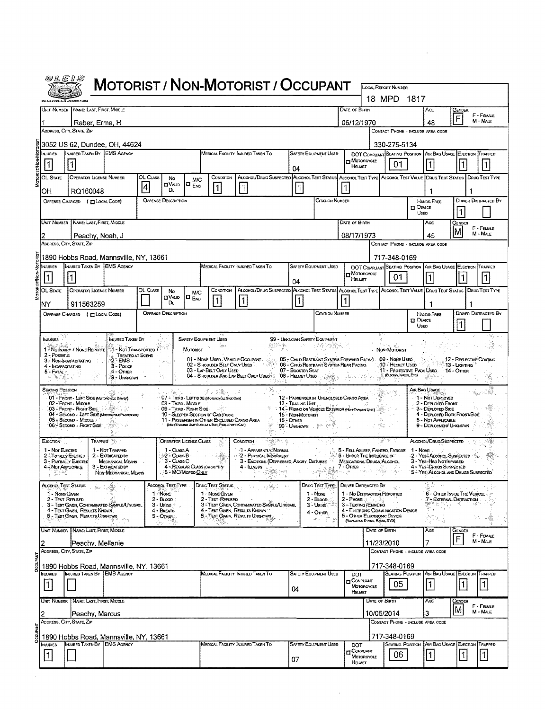|                                                        | @LEIS                                                                                                                          |                                           |                                                   |                                            |                                                                                    | <b>MOTORIST / NON-MOTORIST / OCCUPANT</b>                                                                                 |                                 |                                                      |                                                                            |                             |                                                |                                                                                          |                                |                             |
|--------------------------------------------------------|--------------------------------------------------------------------------------------------------------------------------------|-------------------------------------------|---------------------------------------------------|--------------------------------------------|------------------------------------------------------------------------------------|---------------------------------------------------------------------------------------------------------------------------|---------------------------------|------------------------------------------------------|----------------------------------------------------------------------------|-----------------------------|------------------------------------------------|------------------------------------------------------------------------------------------|--------------------------------|-----------------------------|
|                                                        |                                                                                                                                |                                           |                                                   |                                            |                                                                                    |                                                                                                                           |                                 |                                                      |                                                                            |                             | <b>LOCAL REPORT NUMBER</b><br>18 MPD 1817      |                                                                                          |                                |                             |
|                                                        | Unit Number   Name: Last, First, Middle                                                                                        |                                           |                                                   |                                            |                                                                                    |                                                                                                                           |                                 |                                                      | DATE OF BIRTH                                                              |                             |                                                | AGE                                                                                      | Gender                         | F - FEMALE                  |
|                                                        | Raber, Erma, H                                                                                                                 |                                           |                                                   |                                            |                                                                                    |                                                                                                                           |                                 |                                                      | 06/12/1970                                                                 |                             |                                                | 48                                                                                       | F                              | M - MALE                    |
|                                                        | ADDRESS, CITY, STATE, ZIP                                                                                                      |                                           |                                                   |                                            |                                                                                    |                                                                                                                           |                                 |                                                      |                                                                            |                             |                                                | CONTACT PHONE - INCLUDE AREA CODE                                                        |                                |                             |
| Injuries                                               | 3052 US 62, Dundee, OH, 44624<br>INJURED TAKEN BY EMS AGENCY                                                                   |                                           |                                                   |                                            |                                                                                    | MEDICAL FACILITY INJURED TAKEN TO                                                                                         |                                 | SAFETY EQUIPMENT USED                                |                                                                            |                             | 330-275-5134<br>DOT COMPLIANT SEATING POSITION |                                                                                          | AIR BAG USAGE EJECTION TRAPPED |                             |
| $\vert$ 1                                              | 1                                                                                                                              |                                           |                                                   |                                            |                                                                                    |                                                                                                                           | 04                              |                                                      | MOTORCYCLE<br>HELMET                                                       |                             | 01                                             |                                                                                          |                                |                             |
| OL STATE                                               | OPERATOR LICENSE NUMBER                                                                                                        | OL CLASS<br> 4                            | No<br><b>OVAUD</b>                                | <b>M/C</b><br>$\blacksquare$ $_{\sf{Env}}$ | CONDITION                                                                          | ALCOHOL/DRUG SUSPECTED ALCOHOL TEST STATUS ALCOHOL TEST TYPE ALCOHOL TEST VALUE DRUG TEST STATUS DRUG TEST TYPE           |                                 |                                                      |                                                                            |                             |                                                |                                                                                          |                                |                             |
| OН                                                     | 11<br>11<br>I1<br>Dι<br>RQ160048<br><b>CITATION NUMBER</b><br><b>OFFENSE DESCRIPTION</b><br>OFFENSE CHARGED (TILOCAL CODE)     |                                           |                                                   |                                            |                                                                                    |                                                                                                                           |                                 |                                                      |                                                                            |                             |                                                | 1<br>HANDS-FREE                                                                          |                                | <b>DRIVER DISTRACTED BY</b> |
|                                                        | $\Box$ Device<br>11<br>USED                                                                                                    |                                           |                                                   |                                            |                                                                                    |                                                                                                                           |                                 |                                                      |                                                                            |                             |                                                |                                                                                          |                                |                             |
|                                                        | UNIT NUMBER   NAME: LAST, FIRST, MIDDLE<br>DATE OF BIRTH<br>Ace<br>Gender<br>F - FEMALE                                        |                                           |                                                   |                                            |                                                                                    |                                                                                                                           |                                 |                                                      |                                                                            |                             |                                                |                                                                                          |                                |                             |
|                                                        | Peachy, Noah, J<br>ADDRESS, CITY, STATE, ZIP                                                                                   |                                           |                                                   |                                            |                                                                                    |                                                                                                                           |                                 |                                                      | 08/17/1973                                                                 |                             |                                                | 45<br>CONTACT PHONE - INCLUDE AREA CODE                                                  |                                | M - MALE                    |
|                                                        | 1890 Hobbs Road, Mannsville, NY, 13661                                                                                         |                                           |                                                   |                                            |                                                                                    |                                                                                                                           |                                 |                                                      |                                                                            |                             | 717-348-0169                                   |                                                                                          |                                |                             |
| <b>NJURIES</b>                                         | INJURED TAKEN BY EMS AGENCY                                                                                                    |                                           |                                                   |                                            |                                                                                    | MEDICAL FACILITY INJURED TAKEN TO                                                                                         |                                 | <b>SAFETY EQUIPMENT USED</b>                         | <b>In MOTORCYCLE</b>                                                       |                             | DOT COMPLIANT SEATING POSITION                 |                                                                                          | AR BAG USAGE EJECTION          | TRAPPED                     |
|                                                        |                                                                                                                                |                                           |                                                   |                                            |                                                                                    |                                                                                                                           | 04                              |                                                      | HELMET                                                                     |                             | 01                                             |                                                                                          |                                |                             |
| <b>OL STATE</b><br>NY                                  | <b>OPERATOR LICENSE NUMBER</b><br>911563259                                                                                    | OL CLASS                                  | No<br><b>UVAUD</b><br>D.                          | <b>M/C</b><br>$\Box_{\mathsf{Env}}$        | CONDITION<br>$\mathbf{1}$                                                          | ALCOHOL/DRUG SUSPECTED ALCOHOL TEST STATUS ALCOHOL TEST TYPE ALCOHOL TEST VALUE DRUG TEST STATUS DRUG TEST TYPE<br> 1     | $\vert$ 1                       |                                                      |                                                                            |                             |                                                |                                                                                          |                                |                             |
|                                                        | OFFENSE CHARGED ( TLOCAL CODE)                                                                                                 |                                           | <b>OFFENSE DESCRIPTION</b>                        |                                            |                                                                                    |                                                                                                                           |                                 | <b>CITATION NUMBER</b>                               |                                                                            |                             |                                                | HANDS-FREE                                                                               | <b>DRIVER DISTRACTED BY</b>    |                             |
|                                                        |                                                                                                                                |                                           |                                                   |                                            |                                                                                    |                                                                                                                           |                                 |                                                      |                                                                            |                             |                                                | $\Box$ Device<br>Usep                                                                    | 1                              |                             |
| Infuries                                               |                                                                                                                                | INJURED TAKEN BY                          |                                                   |                                            | <b>SAFETY EQUIPMENT USED</b><br>din s                                              | Mar.                                                                                                                      | 99 - UNKNOWN SAFETY EQUIPMENT   | アントリング語 (地震解説)                                       |                                                                            |                             |                                                |                                                                                          |                                |                             |
| $2 - PossBLE$                                          | 1 - No INJURY / NONE REPORTE<br>$2 - EMS$<br>3 - NON-INCAPACITATING                                                            | 1 - Not Transported /<br>TREATED AT SCENE |                                                   | MOTORIST                                   |                                                                                    | 01 - None Used - Vehicle Occupant   1915 - Oslid Restraint System Forward Facing   09 - None Used                         |                                 |                                                      |                                                                            |                             | NON-MOTORIST                                   |                                                                                          | 12 - REFLECTIVE COATING        |                             |
| 5 - FATAL                                              | 4 - INCAPACITATING<br>4 - Other<br>ditto di Begin                                                                              | $3 - P$ ouce<br>9 - Unknown               | 经合                                                |                                            | 03 - LAP BELT ONLY USED                                                            | 02 - SHOULDER BELT ONLY USED<br>04 - Shqulder And Lap Belt Only Used: 08 - Helmet Used:                                   | 07 - BOOSTER SEAT               | 06 - CHILD RESTRAINT SYSTEM REAR FACING.             |                                                                            |                             | 10 - Helmet Used<br>(Euson's, KNEES, ETC)      | 11 - Protective Pads Used 14 - Other<br>1200 - Pr                                        | $13 -$ Lighting                |                             |
| <b>SEATING POSITION</b>                                |                                                                                                                                |                                           |                                                   |                                            | プリ 新製 デース                                                                          | 역 120 4 2<br>- 39,                                                                                                        |                                 |                                                      |                                                                            |                             |                                                | AIR BAG USAGE                                                                            |                                |                             |
|                                                        | 01 - FRONT - LEFT SIDE (Motorcycle Dever)<br>02 - FRONT - MIDDLE<br>03 - FRONT - RIGHT SIDE                                    |                                           | 08 - Third - Micole                               |                                            | 107 - THIRD - LEFT SIDE (Motorchize Side Car)                                      |                                                                                                                           | 13 - Trailing Uret              | 12 - PASSENGER IN UNENCLOSED CARGO AREA<br>Barbara C |                                                                            |                             |                                                | 1 - Not Deployed<br>2 - DEPLOYED FRONT                                                   |                                |                             |
|                                                        | 04 - SECOND - LEFT SIDE (MOTOROYCLE PASSENGER)<br>05 - Second Mobile                                                           |                                           | 09 - THIRD - RIGHT SIDE                           |                                            | 10 - SLEEPER SECTION OF CAB (TRUCK)<br>11 - PASSENGER IN OTHER ENCLOSED CARGO AREA |                                                                                                                           | 15 - Non-Moronist<br>16 - Onien | 14 - RIDING ON VEHICLE EXTERIOR (NON-TRAUSIS UNT)    |                                                                            |                             |                                                | 3 - Deployed Side<br>4 - DEPLOYED BOTH FRONT/SIDE<br>5 - Not APPLICABLE                  |                                |                             |
|                                                        | 06 - Secono - Richt Side                                                                                                       |                                           |                                                   |                                            | (NON-TRAILING UNIT SUCH AS A BUS, PICK UP WITH CAP)                                |                                                                                                                           | <b>99% UNKNOWN</b> 2014 2015    |                                                      |                                                                            |                             |                                                | 9 - DEPLOYMENT UNKNOWN                                                                   |                                |                             |
| EJECTION <sup>.</sup>                                  | Trapped Se<br>1 - Not TRAPPED<br>1 - Not EJECTED                                                                               |                                           | <b>OPERATOR LICENSE CLASS</b><br>1 - Ouss A       |                                            |                                                                                    | CONDITION<br>1 - Apparently Normal                                                                                        |                                 |                                                      | 5 - FELL ASLEEP, FAINTED, FATIGUE                                          |                             |                                                | ALCOHOL/DRUG SUSPECTED<br>1 - NONE                                                       |                                |                             |
|                                                        | 2-TOTALLY EJECTED<br>2 - EXTRICATED BY<br>3 - PARTIALLY EJECTED<br>MECHANICAL MEANS<br>4 - Not Applicable<br>3 - EXTRICATED BY |                                           | $2 - \text{Class B}$<br>3 - CLASS C               |                                            | 4 - REGULAR CLASS (ONOS "D")                                                       | 2 - PHYSICAL IMPAIRMENT<br>3 - EMOTIONA, (DEPRESSED, ANGRY, DISTURBE MEDICATIONS, DRUGS, ALCOHOL<br>$4 - I$ <b>LUNESS</b> | $\sim$ 100 $\mu$                |                                                      | <b>A. 6 - UNDER THE INFLUENCE OF THE</b><br>7 - Other                      |                             |                                                | 2 - YEB: ALCOHOL SUSPECTED \$3.<br>3 - Yes - Hen Notlaparen<br>4 - Yes - Daugs Suspected |                                |                             |
|                                                        | NON-MECHANICAL MEANS<br>' rikel                                                                                                |                                           | . >S = MC/MoPED <u>ONLY</u>                       |                                            |                                                                                    |                                                                                                                           |                                 |                                                      |                                                                            |                             |                                                | 5 - YES ALCOHOL AND DRUGS SUSPECTED                                                      |                                |                             |
|                                                        | ALCOHOL TEST STATUS<br>$3k_{\rm F}$ , $\zeta$<br>1 - NONE GIVEN                                                                |                                           | Alcohol Test Type<br>1 - None                     |                                            | Drug Test Status<br>1 - NONE GIVEN                                                 |                                                                                                                           |                                 | DRUG TEST TYPE<br>1 - Nove                           | <b>DRIVER DISTRACTED BY</b><br>1 - No Distraction Reported                 |                             |                                                | હે કે<br>$\sim$ $\sim$                                                                   | 6 - On ER INSIDE THE VEHICLE   |                             |
|                                                        | 2 - Test Refused<br>3 - TEST GIVEN, CONTAMINATED SAMPLE/UNUSABL<br>4 - Test Given, Results Known                               |                                           | $2 - B$ LOOD:<br>$3 -$ URINE $\geq$<br>4 - BREATH |                                            | 2 - Test Refused                                                                   | 3 - TEST GIVEN, CONTAMINATED SAMPLE/UNISABL<br>4 - Test Given, Results Known                                              |                                 | $2 - B$ LOOD<br>3 - Unive                            | 2 - Phone 3.<br>3 - TEXTING/EMAIDING<br>4 - ELCTRONIC COMMUNICATION DEVICE | ು - ಸೆಬ                     |                                                |                                                                                          | 7 - EXTERNAL DISTRACTION       |                             |
|                                                        | 5 - TEST GIVEN, RESULTS UNKNOWN                                                                                                |                                           | $5 -$ OTHER<br>Ŧ,                                 |                                            |                                                                                    | 5 - TEST GIVEN, RESULTS UNKNOWN                                                                                           |                                 | 4 - OTHER<br>动物学                                     | 5 - OTHER ELECTRONIC DEVICE<br>(NAVIGATION DEVICE, RADIO, DVD)             |                             |                                                | 密封.                                                                                      |                                |                             |
|                                                        | UNT NUMBER NAME: LAST, FIRST, MIDDLE                                                                                           |                                           |                                                   |                                            |                                                                                    |                                                                                                                           |                                 |                                                      |                                                                            | DATE OF BIRTH               |                                                | Age                                                                                      | Gender<br>$\mathsf F$          | F - FEMALE                  |
|                                                        | Peachy, Mellanie<br>Address, City, State, Zip                                                                                  |                                           |                                                   |                                            |                                                                                    |                                                                                                                           |                                 |                                                      |                                                                            | 11/23/2010                  |                                                | CONTACT PHONE - INCLUDE AREA CODE                                                        |                                | M - MALE                    |
| 717-348-0169<br>1890 Hobbs Road, Mannsville, NY, 13661 |                                                                                                                                |                                           |                                                   |                                            |                                                                                    |                                                                                                                           |                                 |                                                      |                                                                            |                             |                                                |                                                                                          |                                |                             |
| <b>NJURIES</b>                                         | <b>INJURED TAKEN BY EMS AGENCY</b>                                                                                             |                                           |                                                   |                                            |                                                                                    | MEDICAL FACILITY INJURED TAKEN TO                                                                                         |                                 | <b>SAFETY EQUIPMENT USED</b>                         | DOT<br><b>COMPLIANT</b>                                                    |                             | 05                                             | <b>SEATING POSITION AIR BAG USAGE EJECTION TRAPPED</b><br> 1                             |                                | $\mathbf{1}$                |
| $\vert$ 1                                              |                                                                                                                                |                                           |                                                   |                                            |                                                                                    |                                                                                                                           | 04                              |                                                      | MOTORCYCLE<br>HELMET                                                       |                             |                                                |                                                                                          | 1                              |                             |
|                                                        | UNIT NUMBER   NAME: LAST, FIRST, MIDDLE                                                                                        |                                           |                                                   |                                            |                                                                                    |                                                                                                                           |                                 |                                                      |                                                                            | DATE OF BIRTH<br>10/05/2014 |                                                | AGE<br>З                                                                                 | Genoer<br>lΜ                   | F - FEMALE<br>$M - MAE$     |
|                                                        | Peachy, Marcus<br>ADDRESS, CITY, STATE, ZIP                                                                                    |                                           |                                                   |                                            |                                                                                    |                                                                                                                           |                                 |                                                      |                                                                            |                             |                                                | CONTACT PHONE - INCLUDE AREA CODE                                                        |                                |                             |
|                                                        | 1890 Hobbs Road, Mannsville, NY, 13661                                                                                         |                                           |                                                   |                                            |                                                                                    |                                                                                                                           |                                 |                                                      |                                                                            |                             | 717-348-0169                                   |                                                                                          |                                |                             |
| <b>INJURIES</b><br>$\vert$ 1                           | INJURED TAKEN BY EMS AGENCY                                                                                                    |                                           |                                                   |                                            |                                                                                    | Medical Facility Injured Taken To                                                                                         |                                 | <b>SAFETY EQUIPMENT USED</b>                         | DOT<br><b>TI</b> COMPUANT<br>MOTORCYCLE                                    |                             | 06                                             | Seating Position   Air Bag Usage   Ejection   Trapped<br> 1                              |                                | 1                           |
|                                                        |                                                                                                                                |                                           |                                                   |                                            |                                                                                    |                                                                                                                           | 07                              |                                                      | HELMET                                                                     |                             |                                                |                                                                                          |                                |                             |

 $\bar{z}$ 

 $\mathcal{L}$